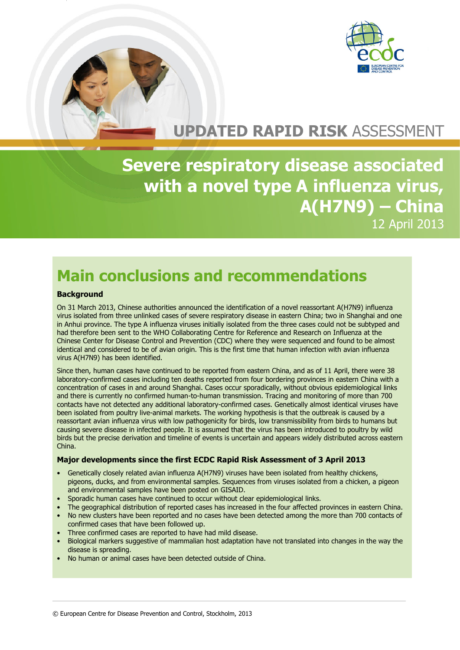

# **UPDATED RAPID RISK** ASSESSMENT

**Severe respiratory disease associated with a novel type A influenza virus, A(H7N9) – China** 12 April 2013

# **Main conclusions and recommendations**

### **Background**

On 31 March 2013, Chinese authorities announced the identification of a novel reassortant A(H7N9) influenza virus isolated from three unlinked cases of severe respiratory disease in eastern China; two in Shanghai and one in Anhui province. The type A influenza viruses initially isolated from the three cases could not be subtyped and had therefore been sent to the WHO Collaborating Centre for Reference and Research on Influenza at the Chinese Center for Disease Control and Prevention (CDC) where they were sequenced and found to be almost identical and considered to be of avian origin. This is the first time that human infection with avian influenza virus A(H7N9) has been identified.

Since then, human cases have continued to be reported from eastern China, and as of 11 April, there were 38 laboratory-confirmed cases including ten deaths reported from four bordering provinces in eastern China with a concentration of cases in and around Shanghai. Cases occur sporadically, without obvious epidemiological links and there is currently no confirmed human-to-human transmission. Tracing and monitoring of more than 700 contacts have not detected any additional laboratory-confirmed cases. Genetically almost identical viruses have been isolated from poultry live-animal markets. The working hypothesis is that the outbreak is caused by a reassortant avian influenza virus with low pathogenicity for birds, low transmissibility from birds to humans but causing severe disease in infected people. It is assumed that the virus has been introduced to poultry by wild birds but the precise derivation and timeline of events is uncertain and appears widely distributed across eastern China.

#### **Major developments since the first ECDC Rapid Risk Assessment of 3 April 2013**

- Genetically closely related avian influenza A(H7N9) viruses have been isolated from healthy chickens, pigeons, ducks, and from environmental samples. Sequences from viruses isolated from a chicken, a pigeon and environmental samples have been posted on GISAID.
- Sporadic human cases have continued to occur without clear epidemiological links.
- The geographical distribution of reported cases has increased in the four affected provinces in eastern China.
- No new clusters have been reported and no cases have been detected among the more than 700 contacts of confirmed cases that have been followed up.
- Three confirmed cases are reported to have had mild disease.
- Biological markers suggestive of mammalian host adaptation have not translated into changes in the way the disease is spreading.
- No human or animal cases have been detected outside of China.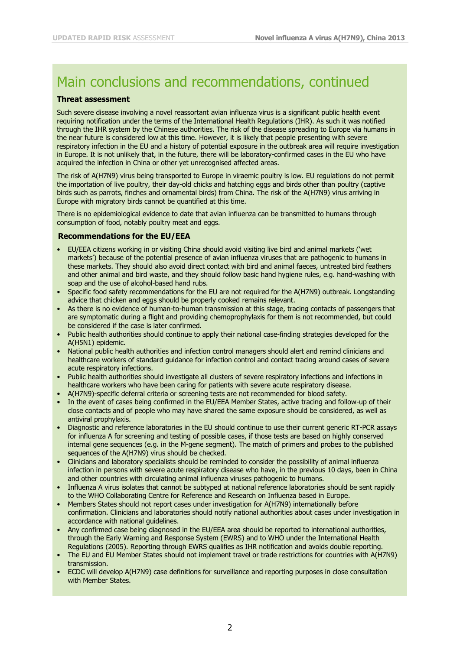## Main conclusions and recommendations, continued

### **Threat assessment**

Such severe disease involving a novel reassortant avian influenza virus is a significant public health event requiring notification under the terms of the International Health Regulations (IHR). As such it was notified through the IHR system by the Chinese authorities. The risk of the disease spreading to Europe via humans in the near future is considered low at this time. However, it is likely that people presenting with severe respiratory infection in the EU and a history of potential exposure in the outbreak area will require investigation in Europe. It is not unlikely that, in the future, there will be laboratory-confirmed cases in the EU who have acquired the infection in China or other yet unrecognised affected areas.

The risk of A(H7N9) virus being transported to Europe in viraemic poultry is low. EU regulations do not permit the importation of live poultry, their day-old chicks and hatching eggs and birds other than poultry (captive birds such as parrots, finches and ornamental birds) from China. The risk of the A(H7N9) virus arriving in Europe with migratory birds cannot be quantified at this time.

There is no epidemiological evidence to date that avian influenza can be transmitted to humans through consumption of food, notably poultry meat and eggs.

### **Recommendations for the EU/EEA**

- EU/EEA citizens working in or visiting China should avoid visiting live bird and animal markets ('wet markets') because of the potential presence of avian influenza viruses that are pathogenic to humans in these markets. They should also avoid direct contact with bird and animal faeces, untreated bird feathers and other animal and bird waste, and they should follow basic hand hygiene rules, e.g. hand-washing with soap and the use of alcohol-based hand rubs.
- Specific food safety recommendations for the EU are not required for the A(H7N9) outbreak. Longstanding advice that chicken and eggs should be properly cooked remains relevant.
- As there is no evidence of human-to-human transmission at this stage, tracing contacts of passengers that are symptomatic during a flight and providing chemoprophylaxis for them is not recommended, but could be considered if the case is later confirmed.
- Public health authorities should continue to apply their national case-finding strategies developed for the A(H5N1) epidemic.
- National public health authorities and infection control managers should alert and remind clinicians and healthcare workers of standard guidance for infection control and contact tracing around cases of severe acute respiratory infections.
- Public health authorities should investigate all clusters of severe respiratory infections and infections in healthcare workers who have been caring for patients with severe acute respiratory disease.
- A(H7N9)-specific deferral criteria or screening tests are not recommended for blood safety.
- In the event of cases being confirmed in the EU/EEA Member States, active tracing and follow-up of their close contacts and of people who may have shared the same exposure should be considered, as well as antiviral prophylaxis.
- Diagnostic and reference laboratories in the EU should continue to use their current generic RT-PCR assays for influenza A for screening and testing of possible cases, if those tests are based on highly conserved internal gene sequences (e.g. in the M-gene segment). The match of primers and probes to the published sequences of the A(H7N9) virus should be checked.
- Clinicians and laboratory specialists should be reminded to consider the possibility of animal influenza infection in persons with severe acute respiratory disease who have, in the previous 10 days, been in China and other countries with circulating animal influenza viruses pathogenic to humans.
- Influenza A virus isolates that cannot be subtyped at national reference laboratories should be sent rapidly to the [WHO Collaborating Centre for Reference and Research on Influenza based in Europe.](http://www.nimr.mrc.ac.uk/who-influenza-centre)
- Members States should not report cases under investigation for A(H7N9) internationally before confirmation. Clinicians and laboratories should notify national authorities about cases under investigation in accordance with national guidelines.
- Any confirmed case being diagnosed in the EU/EEA area should be reported to international authorities, through the Early Warning and Response System (EWRS) and to WHO under the International Health Regulations (2005). Reporting through EWRS qualifies as IHR notification and avoids double reporting.
- The EU and EU Member States should not implement travel or trade restrictions for countries with A(H7N9) transmission.
- ECDC will develop A(H7N9) case definitions for surveillance and reporting purposes in close consultation with Member States.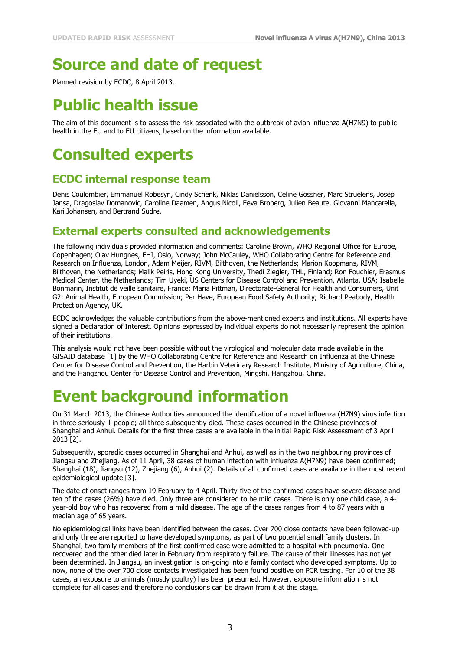# **Source and date of request**

Planned revision by ECDC, 8 April 2013.

# **Public health issue**

The aim of this document is to assess the risk associated with the outbreak of avian influenza A(H7N9) to public health in the EU and to EU citizens, based on the information available.

# **Consulted experts**

### **ECDC internal response team**

Denis Coulombier, Emmanuel Robesyn, Cindy Schenk, Niklas Danielsson, Celine Gossner, Marc Struelens, Josep Jansa, Dragoslav Domanovic, Caroline Daamen, Angus Nicoll, Eeva Broberg, Julien Beaute, Giovanni Mancarella, Kari Johansen, and Bertrand Sudre.

### **External experts consulted and acknowledgements**

The following individuals provided information and comments: Caroline Brown, WHO Regional Office for Europe, Copenhagen; Olav Hungnes, FHI, Oslo, Norway; John McCauley, WHO Collaborating Centre for Reference and Research on Influenza, London, Adam Meijer, RIVM, Bilthoven, the Netherlands; Marion Koopmans, RIVM, Bilthoven, the Netherlands; Malik Peiris, Hong Kong University, Thedi Ziegler, THL, Finland; Ron Fouchier, Erasmus Medical Center, the Netherlands; Tim Uyeki, US Centers for Disease Control and Prevention, Atlanta, USA; Isabelle Bonmarin, Institut de veille sanitaire, France; Maria Pittman, Directorate-General for Health and Consumers, Unit G2: Animal Health, European Commission; Per Have, European Food Safety Authority; Richard Peabody, Health Protection Agency, UK.

ECDC acknowledges the valuable contributions from the above-mentioned experts and institutions. All experts have signed a Declaration of Interest. Opinions expressed by individual experts do not necessarily represent the opinion of their institutions.

This analysis would not have been possible without the virological and molecular data made available in the GISAID database [1] by the WHO Collaborating Centre for Reference and Research on Influenza at the Chinese Center for Disease Control and Prevention, the Harbin Veterinary Research Institute, Ministry of Agriculture, China, and the Hangzhou Center for Disease Control and Prevention, Mingshi, Hangzhou, China.

## **Event background information**

On 31 March 2013, the Chinese Authorities announced the identification of a novel influenza (H7N9) virus infection in three seriously ill people; all three subsequently died. These cases occurred in the Chinese provinces of Shanghai and Anhui. Details for the first three cases are available in the initial Rapid Risk Assessment of 3 April 2013 [2].

Subsequently, sporadic cases occurred in Shanghai and Anhui, as well as in the two neighbouring provinces of Jiangsu and Zhejiang. As of 11 April, 38 cases of human infection with influenza A(H7N9) have been confirmed; Shanghai (18), Jiangsu (12), Zhejiang (6), Anhui (2). Details of all confirmed cases are available in the most recent epidemiological update [3].

The date of onset ranges from 19 February to 4 April. Thirty-five of the confirmed cases have severe disease and ten of the cases (26%) have died. Only three are considered to be mild cases. There is only one child case, a 4 year-old boy who has recovered from a mild disease. The age of the cases ranges from 4 to 87 years with a median age of 65 years.

No epidemiological links have been identified between the cases. Over 700 close contacts have been followed-up and only three are reported to have developed symptoms, as part of two potential small family clusters. In Shanghai, two family members of the first confirmed case were admitted to a hospital with pneumonia. One recovered and the other died later in February from respiratory failure. The cause of their illnesses has not yet been determined. In Jiangsu, an investigation is on-going into a family contact who developed symptoms. Up to now, none of the over 700 close contacts investigated has been found positive on PCR testing. For 10 of the 38 cases, an exposure to animals (mostly poultry) has been presumed. However, exposure information is not complete for all cases and therefore no conclusions can be drawn from it at this stage.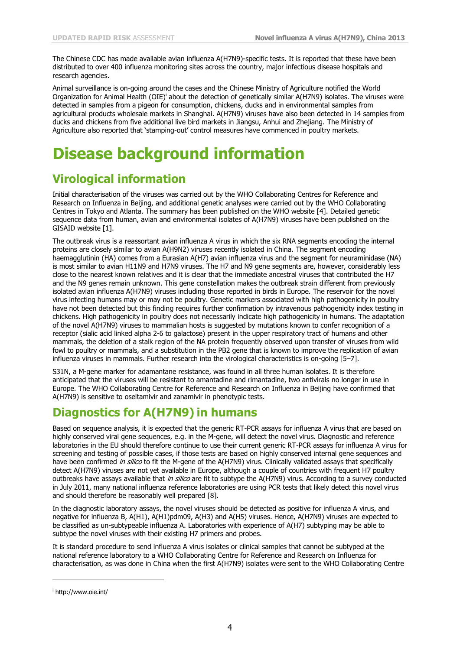The Chinese CDC has made available avian influenza A(H7N9)-specific tests. It is reported that these have been distributed to over 400 influenza monitoring sites across the country, major infectious disease hospitals and research agencies.

Animal surveillance is on-going around the cases and the Chinese Ministry of Agriculture notified the World Organization for Animal Health (OIE)<sup>i</sup> about the detection of genetically similar A(H7N9) isolates. The viruses were detected in samples from a pigeon for consumption, chickens, ducks and in environmental samples from agricultural products wholesale markets in Shanghai. A(H7N9) viruses have also been detected in 14 samples from ducks and chickens from five additional live bird markets in Jiangsu, Anhui and Zhejiang. The Ministry of Agriculture also reported that 'stamping-out' control measures have commenced in poultry markets.

## **Disease background information**

### **Virological information**

Initial characterisation of the viruses was carried out by the WHO Collaborating Centres for Reference and Research on Influenza in Beijing, and additional genetic analyses were carried out by the WHO Collaborating Centres in Tokyo and Atlanta. The summary has been published on the WHO website [4]. Detailed genetic sequence data from human, avian and environmental isolates of A(H7N9) viruses have been published on the [GISAID website](http://platform.gisaid.org/epi3/frontend#255f19) [1].

The outbreak virus is a reassortant avian influenza A virus in which the six RNA segments encoding the internal proteins are closely similar to avian A(H9N2) viruses recently isolated in China. The segment encoding haemagglutinin (HA) comes from a Eurasian A(H7) avian influenza virus and the segment for neuraminidase (NA) is most similar to avian H11N9 and H7N9 viruses. The H7 and N9 gene segments are, however, considerably less close to the nearest known relatives and it is clear that the immediate ancestral viruses that contributed the H7 and the N9 genes remain unknown. This gene constellation makes the outbreak strain different from previously isolated avian influenza A(H7N9) viruses including those reported in birds in Europe. The reservoir for the novel virus infecting humans may or may not be poultry. Genetic markers associated with high pathogenicity in poultry have not been detected but this finding requires further confirmation by intravenous pathogenicity index testing in chickens. High pathogenicity in poultry does not necessarily indicate high pathogenicity in humans. The adaptation of the novel A(H7N9) viruses to mammalian hosts is suggested by mutations known to confer recognition of a receptor (sialic acid linked alpha 2-6 to galactose) present in the upper respiratory tract of humans and other mammals, the deletion of a stalk region of the NA protein frequently observed upon transfer of viruses from wild fowl to poultry or mammals, and a substitution in the PB2 gene that is known to improve the replication of avian influenza viruses in mammals. Further research into the virological characteristics is on-going [5–7].

S31N, a M-gene marker for adamantane resistance, was found in all three human isolates. It is therefore anticipated that the viruses will be resistant to amantadine and rimantadine, two antivirals no longer in use in Europe. The WHO Collaborating Centre for Reference and Research on Influenza in Beijing have confirmed that A(H7N9) is sensitive to oseltamivir and zanamivir in phenotypic tests.

### **Diagnostics for A(H7N9) in humans**

Based on sequence analysis, it is expected that the generic RT-PCR assays for influenza A virus that are based on highly conserved viral gene sequences, e.g. in the M-gene, will detect the novel virus. Diagnostic and reference laboratories in the EU should therefore continue to use their current generic RT-PCR assays for influenza A virus for screening and testing of possible cases, if those tests are based on highly conserved internal gene sequences and have been confirmed *in silico* to fit the M-gene of the A(H7N9) virus. Clinically validated assays that specifically detect A(H7N9) viruses are not yet available in Europe, although a couple of countries with frequent H7 poultry outbreaks have assays available that *in silico* are fit to subtype the A(H7N9) virus. According to a survey conducted in July 2011, many national influenza reference laboratories are using PCR tests that likely detect this novel virus and should therefore be reasonably well prepared [8].

In the diagnostic laboratory assays, the novel viruses should be detected as positive for influenza A virus, and negative for influenza B, A(H1), A(H1)pdm09, A(H3) and A(H5) viruses. Hence, A(H7N9) viruses are expected to be classified as un-subtypeable influenza A. Laboratories with experience of A(H7) subtyping may be able to subtype the novel viruses with their existing H7 primers and probes.

It is standard procedure to send influenza A virus isolates or clinical samples that cannot be subtyped at the national reference laboratory to a WHO Collaborating Centre for Reference and Research on Influenza for characterisation, as was done in China when the first A(H7N9) isolates were sent to the WHO Collaborating Centre

j

i http://www.oie.int/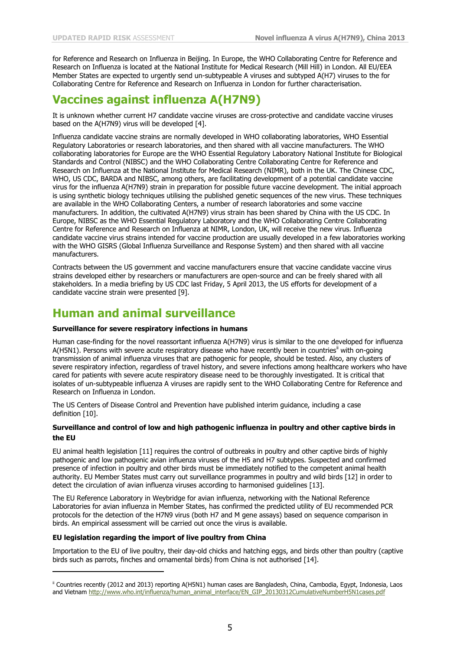for Reference and Research on Influenza in Beijing. In Europe, the WHO Collaborating Centre for Reference and Research on Influenza is located at the National Institute for Medical Research (Mill Hill) in London. All EU/EEA Member States are expected to urgently send un-subtypeable A viruses and subtyped A(H7) viruses to the for Collaborating Centre for Reference and Research on Influenza in London for further characterisation.

## **Vaccines against influenza A(H7N9)**

It is unknown whether current H7 candidate vaccine viruses are cross-protective and candidate vaccine viruses based on the A(H7N9) virus will be developed [4].

Influenza candidate vaccine strains are normally developed in WHO collaborating laboratories, WHO Essential Regulatory Laboratories or research laboratories, and then shared with all vaccine manufacturers. The WHO collaborating laboratories for Europe are the WHO Essential Regulatory Laboratory National Institute for Biological Standards and Control (NIBSC) and the WHO Collaborating Centre Collaborating Centre for Reference and Research on Influenza at the National Institute for Medical Research (NIMR), both in the UK. The Chinese CDC, WHO, US CDC, BARDA and NIBSC, among others, are facilitating development of a potential candidate vaccine virus for the influenza A(H7N9) strain in preparation for possible future vaccine development. The initial approach is using synthetic biology techniques utilising the published genetic sequences of the new virus. These techniques are available in the WHO Collaborating Centers, a number of research laboratories and some vaccine manufacturers. In addition, the cultivated A(H7N9) virus strain has been shared by China with the US CDC. In Europe, NIBSC as the WHO Essential Regulatory Laboratory and the WHO Collaborating Centre Collaborating Centre for Reference and Research on Influenza at NIMR, London, UK, will receive the new virus. Influenza candidate vaccine virus strains intended for vaccine production are usually developed in a few laboratories working with the WHO GISRS (Global Influenza Surveillance and Response System) and then shared with all vaccine manufacturers.

Contracts between the US government and vaccine manufacturers ensure that vaccine candidate vaccine virus strains developed either by researchers or manufacturers are open-source and can be freely shared with all stakeholders. In a media briefing by US CDC last Friday, 5 April 2013, the US efforts for development of a candidate vaccine strain were presented [9].

### **Human and animal surveillance**

#### **Surveillance for severe respiratory infections in humans**

Human case-finding for the novel reassortant influenza A(H7N9) virus is similar to the one developed for influenza A(H5N1). Persons with severe acute respiratory disease who have recently been in countries<sup>ii</sup> with on-going transmission of animal influenza viruses that are pathogenic for people, should be tested. Also, any clusters of severe respiratory infection, regardless of travel history, and severe infections among healthcare workers who have cared for patients with severe acute respiratory disease need to be thoroughly investigated. It is critical that isolates of un-subtypeable influenza A viruses are rapidly sent to the WHO Collaborating Centre for Reference and Research on Influenza in London.

The US Centers of Disease Control and Prevention have published interim guidance, including a case definition [10].

#### **Surveillance and control of low and high pathogenic influenza in poultry and other captive birds in the EU**

EU animal health legislation [11] requires the control of outbreaks in poultry and other captive birds of highly pathogenic and low pathogenic avian influenza viruses of the H5 and H7 subtypes. Suspected and confirmed presence of infection in poultry and other birds must be immediately notified to the competent animal health authority. EU Member States must carry out surveillance programmes in poultry and wild birds [12] in order to detect the circulation of avian influenza viruses according to harmonised guidelines [13].

The EU Reference Laboratory in Weybridge for avian influenza, networking with the National Reference Laboratories for avian influenza in Member States, has confirmed the predicted utility of EU recommended PCR protocols for the detection of the H7N9 virus (both H7 and M gene assays) based on sequence comparison in birds. An empirical assessment will be carried out once the virus is available.

#### **EU legislation regarding the import of live poultry from China**

j

Importation to the EU of live poultry, their day-old chicks and hatching eggs, and birds other than poultry (captive birds such as parrots, finches and ornamental birds) from China is not authorised [14].

<sup>&</sup>lt;sup>ii</sup> Countries recently (2012 and 2013) reporting A(H5N1) human cases are Bangladesh, China, Cambodia, Egypt, Indonesia, Laos and Vietnam [http://www.who.int/influenza/human\\_animal\\_interface/EN\\_GIP\\_20130312CumulativeNumberH5N1cases.pdf](http://www.who.int/influenza/human_animal_interface/EN_GIP_20130312CumulativeNumberH5N1cases.pdf)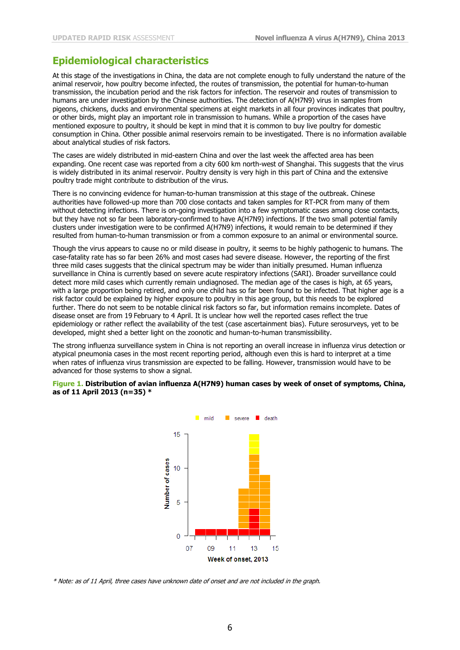### **Epidemiological characteristics**

At this stage of the investigations in China, the data are not complete enough to fully understand the nature of the animal reservoir, how poultry become infected, the routes of transmission, the potential for human-to-human transmission, the incubation period and the risk factors for infection. The reservoir and routes of transmission to humans are under investigation by the Chinese authorities. The detection of A(H7N9) virus in samples from pigeons, chickens, ducks and environmental specimens at eight markets in all four provinces indicates that poultry, or other birds, might play an important role in transmission to humans. While a proportion of the cases have mentioned exposure to poultry, it should be kept in mind that it is common to buy live poultry for domestic consumption in China. Other possible animal reservoirs remain to be investigated. There is no information available about analytical studies of risk factors.

The cases are widely distributed in mid-eastern China and over the last week the affected area has been expanding. One recent case was reported from a city 600 km north-west of Shanghai. This suggests that the virus is widely distributed in its animal reservoir. Poultry density is very high in this part of China and the extensive poultry trade might contribute to distribution of the virus.

There is no convincing evidence for human-to-human transmission at this stage of the outbreak. Chinese authorities have followed-up more than 700 close contacts and taken samples for RT-PCR from many of them without detecting infections. There is on-going investigation into a few symptomatic cases among close contacts, but they have not so far been laboratory-confirmed to have A(H7N9) infections. If the two small potential family clusters under investigation were to be confirmed A(H7N9) infections, it would remain to be determined if they resulted from human-to-human transmission or from a common exposure to an animal or environmental source.

Though the virus appears to cause no or mild disease in poultry, it seems to be highly pathogenic to humans. The case-fatality rate has so far been 26% and most cases had severe disease. However, the reporting of the first three mild cases suggests that the clinical spectrum may be wider than initially presumed. Human influenza surveillance in China is currently based on severe acute respiratory infections (SARI). Broader surveillance could detect more mild cases which currently remain undiagnosed. The median age of the cases is high, at 65 years, with a large proportion being retired, and only one child has so far been found to be infected. That higher age is a risk factor could be explained by higher exposure to poultry in this age group, but this needs to be explored further. There do not seem to be notable clinical risk factors so far, but information remains incomplete. Dates of disease onset are from 19 February to 4 April. It is unclear how well the reported cases reflect the true epidemiology or rather reflect the availability of the test (case ascertainment bias). Future serosurveys, yet to be developed, might shed a better light on the zoonotic and human-to-human transmissibility.

The strong influenza surveillance system in China is not reporting an overall increase in influenza virus detection or atypical pneumonia cases in the most recent reporting period, although even this is hard to interpret at a time when rates of influenza virus transmission are expected to be falling. However, transmission would have to be advanced for those systems to show a signal.

#### **Figure 1. Distribution of avian influenza A(H7N9) human cases by week of onset of symptoms, China, as of 11 April 2013 (n=35) \***



\* Note: as of 11 April, three cases have unknown date of onset and are not included in the graph.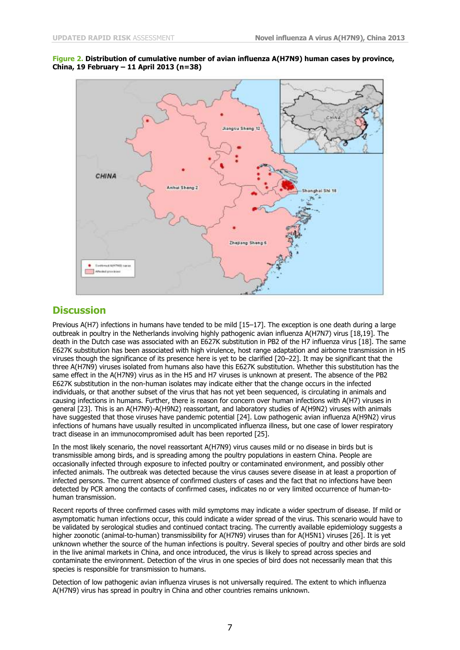



### **Discussion**

Previous A(H7) infections in humans have tended to be mild [15–17]. The exception is one death during a large outbreak in poultry in the Netherlands involving highly pathogenic avian influenza A(H7N7) virus [18,19]. The death in the Dutch case was associated with an E627K substitution in PB2 of the H7 influenza virus [18]. The same E627K substitution has been associated with high virulence, host range adaptation and airborne transmission in H5 viruses though the significance of its presence here is yet to be clarified [20–22]. It may be significant that the three A(H7N9) viruses isolated from humans also have this E627K substitution. Whether this substitution has the same effect in the A(H7N9) virus as in the H5 and H7 viruses is unknown at present. The absence of the PB2 E627K substitution in the non-human isolates may indicate either that the change occurs in the infected individuals, or that another subset of the virus that has not yet been sequenced, is circulating in animals and causing infections in humans. Further, there is reason for concern over human infections with A(H7) viruses in general [23]. This is an A(H7N9)-A(H9N2) reassortant, and laboratory studies of A(H9N2) viruses with animals have suggested that those viruses have pandemic potential [24]. Low pathogenic avian influenza A(H9N2) virus infections of humans have usually resulted in uncomplicated influenza illness, but one case of lower respiratory tract disease in an immunocompromised adult has been reported [25].

In the most likely scenario, the novel reassortant A(H7N9) virus causes mild or no disease in birds but is transmissible among birds, and is spreading among the poultry populations in eastern China. People are occasionally infected through exposure to infected poultry or contaminated environment, and possibly other infected animals. The outbreak was detected because the virus causes severe disease in at least a proportion of infected persons. The current absence of confirmed clusters of cases and the fact that no infections have been detected by PCR among the contacts of confirmed cases, indicates no or very limited occurrence of human-tohuman transmission.

Recent reports of three confirmed cases with mild symptoms may indicate a wider spectrum of disease. If mild or asymptomatic human infections occur, this could indicate a wider spread of the virus. This scenario would have to be validated by serological studies and continued contact tracing. The currently available epidemiology suggests a higher zoonotic (animal-to-human) transmissibility for A(H7N9) viruses than for A(H5N1) viruses [26]. It is yet unknown whether the source of the human infections is poultry. Several species of poultry and other birds are sold in the live animal markets in China, and once introduced, the virus is likely to spread across species and contaminate the environment. Detection of the virus in one species of bird does not necessarily mean that this species is responsible for transmission to humans.

Detection of low pathogenic avian influenza viruses is not universally required. The extent to which influenza A(H7N9) virus has spread in poultry in China and other countries remains unknown.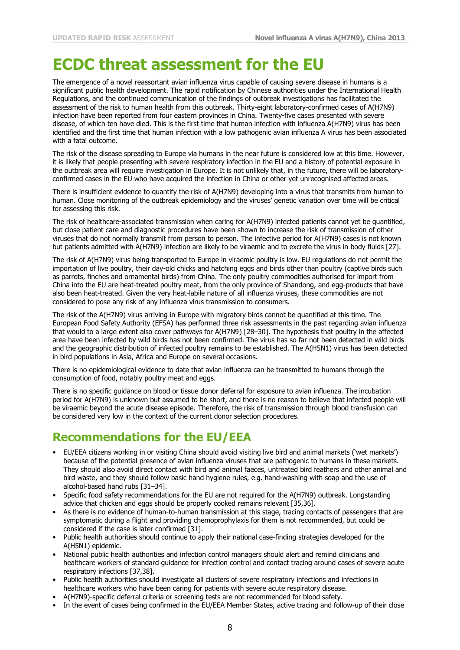## **ECDC threat assessment for the EU**

The emergence of a novel reassortant avian influenza virus capable of causing severe disease in humans is a significant public health development. The rapid notification by Chinese authorities under the International Health Regulations, and the continued communication of the findings of outbreak investigations has facilitated the assessment of the risk to human health from this outbreak. Thirty-eight laboratory-confirmed cases of A(H7N9) infection have been reported from four eastern provinces in China. Twenty-five cases presented with severe disease, of which ten have died. This is the first time that human infection with influenza A(H7N9) virus has been identified and the first time that human infection with a low pathogenic avian influenza A virus has been associated with a fatal outcome.

The risk of the disease spreading to Europe via humans in the near future is considered low at this time. However, it is likely that people presenting with severe respiratory infection in the EU and a history of potential exposure in the outbreak area will require investigation in Europe. It is not unlikely that, in the future, there will be laboratoryconfirmed cases in the EU who have acquired the infection in China or other yet unrecognised affected areas.

There is insufficient evidence to quantify the risk of A(H7N9) developing into a virus that transmits from human to human. Close monitoring of the outbreak epidemiology and the viruses' genetic variation over time will be critical for assessing this risk.

The risk of healthcare-associated transmission when caring for A(H7N9) infected patients cannot yet be quantified, but close patient care and diagnostic procedures have been shown to increase the risk of transmission of other viruses that do not normally transmit from person to person. The infective period for A(H7N9) cases is not known but patients admitted with A(H7N9) infection are likely to be viraemic and to excrete the virus in body fluids [27].

The risk of A(H7N9) virus being transported to Europe in viraemic poultry is low. EU regulations do not permit the importation of live poultry, their day-old chicks and hatching eggs and birds other than poultry (captive birds such as parrots, finches and ornamental birds) from China. The only poultry commodities authorised for import from China into the EU are heat-treated poultry meat, from the only province of Shandong, and egg-products that have also been heat-treated. Given the very heat-labile nature of all influenza viruses, these commodities are not considered to pose any risk of any influenza virus transmission to consumers.

The risk of the A(H7N9) virus arriving in Europe with migratory birds cannot be quantified at this time. The European Food Safety Authority (EFSA) has performed three risk assessments in the past regarding avian influenza that would to a large extent also cover pathways for A(H7N9) [28–30]. The hypothesis that poultry in the affected area have been infected by wild birds has not been confirmed. The virus has so far not been detected in wild birds and the geographic distribution of infected poultry remains to be established. The A(H5N1) virus has been detected in bird populations in Asia, Africa and Europe on several occasions.

There is no epidemiological evidence to date that avian influenza can be transmitted to humans through the consumption of food, notably poultry meat and eggs.

There is no specific guidance on blood or tissue donor deferral for exposure to avian influenza. The incubation period for A(H7N9) is unknown but assumed to be short, and there is no reason to believe that infected people will be viraemic beyond the acute disease episode. Therefore, the risk of transmission through blood transfusion can be considered very low in the context of the current donor selection procedures.

## **Recommendations for the EU/EEA**

- EU/EEA citizens working in or visiting China should avoid visiting live bird and animal markets ('wet markets') because of the potential presence of avian influenza viruses that are pathogenic to humans in these markets. They should also avoid direct contact with bird and animal faeces, untreated bird feathers and other animal and bird waste, and they should follow basic hand hygiene rules, e.g. hand-washing with soap and the use of alcohol-based hand rubs [31–34].
- Specific food safety recommendations for the EU are not required for the A(H7N9) outbreak. Longstanding advice that chicken and eggs should be properly cooked remains relevant [35,36].
- As there is no evidence of human-to-human transmission at this stage, tracing contacts of passengers that are symptomatic during a flight and providing chemoprophylaxis for them is not recommended, but could be considered if the case is later confirmed [31].
- Public health authorities should continue to apply their national case-finding strategies developed for the A(H5N1) epidemic.
- National public health authorities and infection control managers should alert and remind clinicians and healthcare workers of standard guidance for infection control and contact tracing around cases of severe acute respiratory infections [37,38].
- Public health authorities should investigate all clusters of severe respiratory infections and infections in healthcare workers who have been caring for patients with severe acute respiratory disease.
- A(H7N9)-specific deferral criteria or screening tests are not recommended for blood safety.
- In the event of cases being confirmed in the EU/EEA Member States, active tracing and follow-up of their close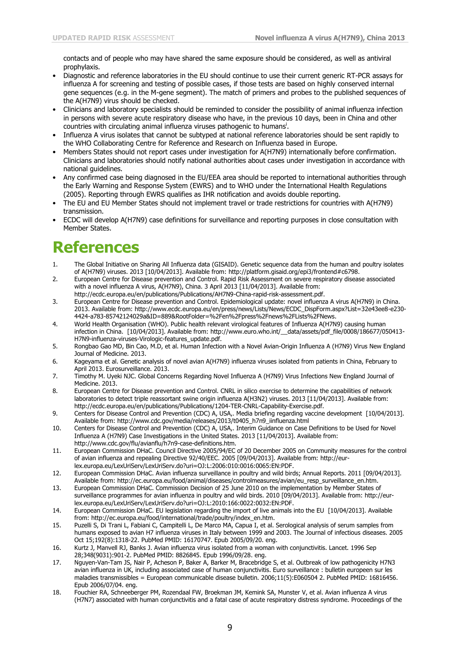contacts and of people who may have shared the same exposure should be considered, as well as antiviral prophylaxis.

- Diagnostic and reference laboratories in the EU should continue to use their current generic RT-PCR assays for influenza A for screening and testing of possible cases, if those tests are based on highly conserved internal gene sequences (e.g. in the M-gene segment). The match of primers and probes to the published sequences of the A(H7N9) virus should be checked.
- Clinicians and laboratory specialists should be reminded to consider the possibility of animal influenza infection in persons with severe acute respiratory disease who have, in the previous 10 days, been in China and other countries with circulating animal influenza viruses pathogenic to humans<sup>i</sup>.
- Influenza A virus isolates that cannot be subtyped at national reference laboratories should be sent rapidly to the WHO Collaborating Centre for Reference and Research on Influenza based in Europe.
- Members States should not report cases under investigation for A(H7N9) internationally before confirmation. Clinicians and laboratories should notify national authorities about cases under investigation in accordance with national guidelines.
- Any confirmed case being diagnosed in the EU/EEA area should be reported to international authorities through the Early Warning and Response System (EWRS) and to WHO under the International Health Regulations (2005). Reporting through EWRS qualifies as IHR notification and avoids double reporting.
- The EU and EU Member States should not implement travel or trade restrictions for countries with A(H7N9) transmission.
- ECDC will develop A(H7N9) case definitions for surveillance and reporting purposes in close consultation with Member States.

# **References**

- 1. The Global Initiative on Sharing All Influenza data (GISAID). Genetic sequence data from the human and poultry isolates of A(H7N9) viruses. 2013 [10/04/2013]. Available from: http://platform.gisaid.org/epi3/frontend#c6798.
- 2. European Centre for Disease prevention and Control. Rapid Risk Assessment on severe respiratory disease associated with a novel influenza A virus, A(H7N9), China. 3 April 2013 [11/04/2013]. Available from: http://ecdc.europa.eu/en/publications/Publications/AH7N9-China-rapid-risk-assessment.pdf.
- 3. European Centre for Disease prevention and Control. Epidemiological update: novel influenza A virus A(H7N9) in China. 2013. Available from: http://www.ecdc.europa.eu/en/press/news/Lists/News/ECDC\_DispForm.aspx?List=32e43ee8-e230- 4424-a783-85742124029a&ID=889&RootFolder=%2Fen%2Fpress%2Fnews%2FLists%2FNews.
- 4. World Health Organisation (WHO). Public health relevant virological features of Influenza A(H7N9) causing human infection in China. [10/04/2013]. Available from: http://www.euro.who.int/\_\_data/assets/pdf\_file/0008/186677/050413- H7N9-influenza-viruses-Virologic-features\_update.pdf.
- 5. Rongbao Gao MD, Bin Cao, M.D, et al. Human Infection with a Novel Avian-Origin Influenza A (H7N9) Virus New England Journal of Medicine. 2013.
- 6. Kageyama et al. Genetic analysis of novel avian A(H7N9) influenza viruses isolated from patients in China, February to April 2013. Eurosurveillance. 2013.
- 7. Timothy M. Uyeki NJC. Global Concerns Regarding Novel Influenza A (H7N9) Virus Infections New England Journal of Medicine. 2013.
- 8. European Centre for Disease prevention and Control. CNRL in silico exercise to determine the capabilities of network laboratories to detect triple reassortant swine origin influenza A(H3N2) viruses. 2013 [11/04/2013]. Available from: http://ecdc.europa.eu/en/publications/Publications/1204-TER-CNRL-Capability-Exercise.pdf.
- 9. Centers for Disease Control and Prevention (CDC) A, USA,. Media briefing regarding vaccine development [10/04/2013]. Available from: http://www.cdc.gov/media/releases/2013/t0405\_h7n9\_iinfluenza.html
- 10. Centers for Disease Control and Prevention (CDC) A, USA,. Interim Guidance on Case Definitions to be Used for Novel Influenza A (H7N9) Case Investigations in the United States. 2013 [11/04/2013]. Available from: http://www.cdc.gov/flu/avianflu/h7n9-case-definitions.htm.
- 11. European Commission DHaC. Council Directive 2005/94/EC of 20 December 2005 on Community measures for the control of avian influenza and repealing Directive 92/40/EEC. 2005 [09/04/2013]. Available from: http://eurlex.europa.eu/LexUriServ/LexUriServ.do?uri=OJ:L:2006:010:0016:0065:EN:PDF.
- 12. European Commission DHaC. Avian influenza surveillance in poultry and wild birds; Annual Reports. 2011 [09/04/2013]. Available from: http://ec.europa.eu/food/animal/diseases/controlmeasures/avian/eu\_resp\_surveillance\_en.htm.
- 13. European Commission DHaC. Commission Decision of 25 June 2010 on the implementation by Member States of surveillance programmes for avian influenza in poultry and wild birds. 2010 [09/04/2013]. Available from: http://eurlex.europa.eu/LexUriServ/LexUriServ.do?uri=OJ:L:2010:166:0022:0032:EN:PDF.
- 14. European Commission DHaC. EU legislation regarding the import of live animals into the EU [10/04/2013]. Available from: http://ec.europa.eu/food/international/trade/poultry/index\_en.htm.
- 15. Puzelli S, Di Trani L, Fabiani C, Campitelli L, De Marco MA, Capua I, et al. Serological analysis of serum samples from humans exposed to avian H7 influenza viruses in Italy between 1999 and 2003. The Journal of infectious diseases. 2005 Oct 15;192(8):1318-22. PubMed PMID: 16170747. Epub 2005/09/20. eng.
- 16. Kurtz J, Manvell RJ, Banks J. Avian influenza virus isolated from a woman with conjunctivitis. Lancet. 1996 Sep 28;348(9031):901-2. PubMed PMID: 8826845. Epub 1996/09/28. eng.
- 17. Nguyen-Van-Tam JS, Nair P, Acheson P, Baker A, Barker M, Bracebridge S, et al. Outbreak of low pathogenicity H7N3 avian influenza in UK, including associated case of human conjunctivitis. Euro surveillance : bulletin europeen sur les maladies transmissibles = European communicable disease bulletin. 2006;11(5):E060504 2. PubMed PMID: 16816456. Epub 2006/07/04. eng.
- 18. Fouchier RA, Schneeberger PM, Rozendaal FW, Broekman JM, Kemink SA, Munster V, et al. Avian influenza A virus (H7N7) associated with human conjunctivitis and a fatal case of acute respiratory distress syndrome. Proceedings of the